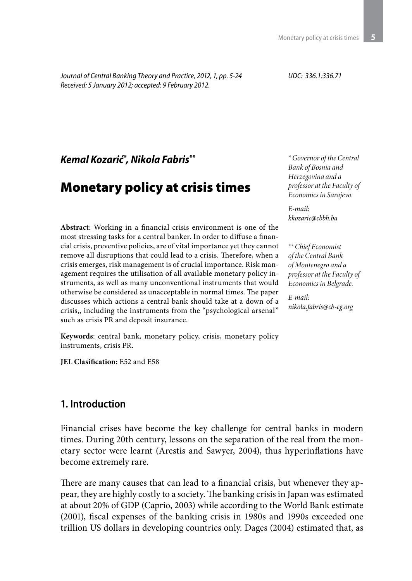*Journal of Central Banking Theory and Practice, 2012, 1, pp. 5-24 Received: 5 January 2012; accepted: 9 February 2012.*

*UDC: 336.1:336.71*

*Kemal Kozarić\* , Nikola Fabris\*\**

# Monetary policy at crisis times

**Abstract**: Working in a financial crisis environment is one of the most stressing tasks for a central banker. In order to diffuse a financial crisis, preventive policies, are of vital importance yet they cannot remove all disruptions that could lead to a crisis. Therefore, when a crisis emerges, risk management is of crucial importance. Risk management requires the utilisation of all available monetary policy instruments, as well as many unconventional instruments that would otherwise be considered as unacceptable in normal times. The paper discusses which actions a central bank should take at a down of a crisis,, including the instruments from the "psychological arsenal" such as crisis PR and deposit insurance.

**Keywords**: central bank, monetary policy, crisis, monetary policy instruments, crisis PR.

**JEL Clasification:** E52 and E58

### **1. Introduction**

Financial crises have become the key challenge for central banks in modern times. During 20th century, lessons on the separation of the real from the monetary sector were learnt (Arestis and Sawyer, 2004), thus hyperinflations have become extremely rare.

There are many causes that can lead to a financial crisis, but whenever they appear, they are highly costly to a society. The banking crisis in Japan was estimated at about 20% of GDP (Caprio, 2003) while according to the World Bank estimate (2001), fiscal expenses of the banking crisis in 1980s and 1990s exceeded one trillion US dollars in developing countries only. Dages (2004) estimated that, as

*\* Governor of the Central Bank of Bosnia and Herzegovina and a professor at the Faculty of Economics in Sarajevo.*

*E-mail: kkozaric@cbbh.ba*

*\*\* Chief Economist of the Central Bank of Montenegro and a professor at the Faculty of Economics in Belgrade.*

*E-mail: nikola.fabris@cb-cg.org*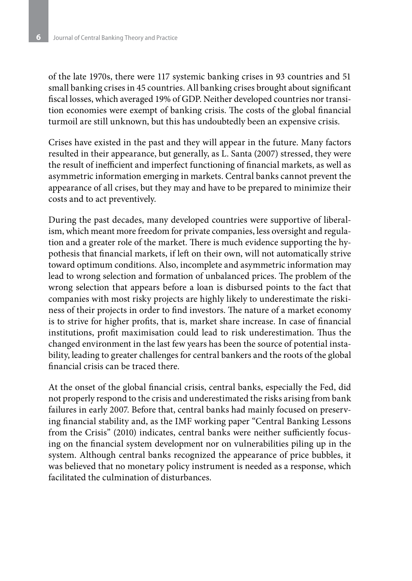of the late 1970s, there were 117 systemic banking crises in 93 countries and 51 small banking crises in 45 countries. All banking crises brought about significant fiscal losses, which averaged 19% of GDP. Neither developed countries nor transition economies were exempt of banking crisis. The costs of the global financial turmoil are still unknown, but this has undoubtedly been an expensive crisis.

Crises have existed in the past and they will appear in the future. Many factors resulted in their appearance, but generally, as L. Santa (2007) stressed, they were the result of inefficient and imperfect functioning of financial markets, as well as asymmetric information emerging in markets. Central banks cannot prevent the appearance of all crises, but they may and have to be prepared to minimize their costs and to act preventively.

During the past decades, many developed countries were supportive of liberalism, which meant more freedom for private companies, less oversight and regulation and a greater role of the market. There is much evidence supporting the hypothesis that financial markets, if left on their own, will not automatically strive toward optimum conditions. Also, incomplete and asymmetric information may lead to wrong selection and formation of unbalanced prices. The problem of the wrong selection that appears before a loan is disbursed points to the fact that companies with most risky projects are highly likely to underestimate the riskiness of their projects in order to find investors. The nature of a market economy is to strive for higher profits, that is, market share increase. In case of financial institutions, profit maximisation could lead to risk underestimation. Thus the changed environment in the last few years has been the source of potential instability, leading to greater challenges for central bankers and the roots of the global financial crisis can be traced there.

At the onset of the global financial crisis, central banks, especially the Fed, did not properly respond to the crisis and underestimated the risks arising from bank failures in early 2007. Before that, central banks had mainly focused on preserving financial stability and, as the IMF working paper "Central Banking Lessons from the Crisis" (2010) indicates, central banks were neither sufficiently focusing on the financial system development nor on vulnerabilities piling up in the system. Although central banks recognized the appearance of price bubbles, it was believed that no monetary policy instrument is needed as a response, which facilitated the culmination of disturbances.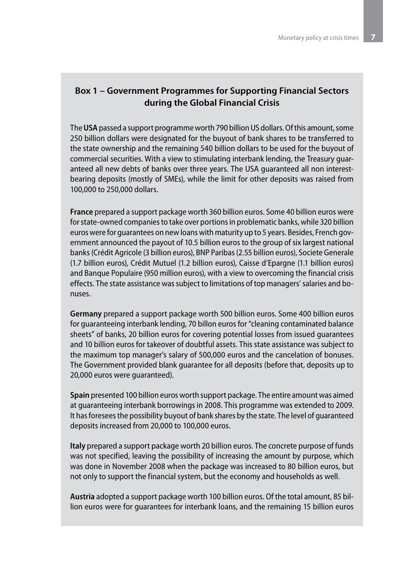### **Box 1 – Government Programmes for Supporting Financial Sectors during the Global Financial Crisis**

The **USA** passed a support programme worth 790 billion US dollars. Of this amount, some 250 billion dollars were designated for the buyout of bank shares to be transferred to the state ownership and the remaining 540 billion dollars to be used for the buyout of commercial securities. With a view to stimulating interbank lending, the Treasury guaranteed all new debts of banks over three years. The USA guaranteed all non interestbearing deposits (mostly of SMEs), while the limit for other deposits was raised from 100,000 to 250,000 dollars.

**France** prepared a support package worth 360 billion euros. Some 40 billion euros were for state-owned companies to take over portions in problematic banks, while 320 billion euros were for guarantees on new loans with maturity up to 5 years. Besides, French government announced the payout of 10.5 billion euros to the group of six largest national banks (Crédit Agricole (3 billion euros), BNP Paribas (2.55 billion euros), Societe Generale (1.7 billion euros), Crédit Mutuel (1.2 billion euros), Caisse d'Epargne (1.1 billion euros) and Banque Populaire (950 million euros), with a view to overcoming the financial crisis effects. The state assistance was subject to limitations of top managers' salaries and bonuses.

**Germany** prepared a support package worth 500 billion euros. Some 400 billion euros for guaranteeing interbank lending, 70 billon euros for "cleaning contaminated balance sheets" of banks, 20 billion euros for covering potential losses from issued guarantees and 10 billion euros for takeover of doubtful assets. This state assistance was subject to the maximum top manager's salary of 500,000 euros and the cancelation of bonuses. The Government provided blank guarantee for all deposits (before that, deposits up to 20,000 euros were guaranteed).

**Spain** presented 100 billion euros worth support package. The entire amount was aimed at guaranteeing interbank borrowings in 2008. This programme was extended to 2009. It has foresees the possibility buyout of bank shares by the state. The level of guaranteed deposits increased from 20,000 to 100,000 euros.

**Italy** prepared a support package worth 20 billion euros. The concrete purpose of funds was not specified, leaving the possibility of increasing the amount by purpose, which was done in November 2008 when the package was increased to 80 billion euros, but not only to support the financial system, but the economy and households as well.

**Austria** adopted a support package worth 100 billion euros. Of the total amount, 85 billion euros were for guarantees for interbank loans, and the remaining 15 billion euros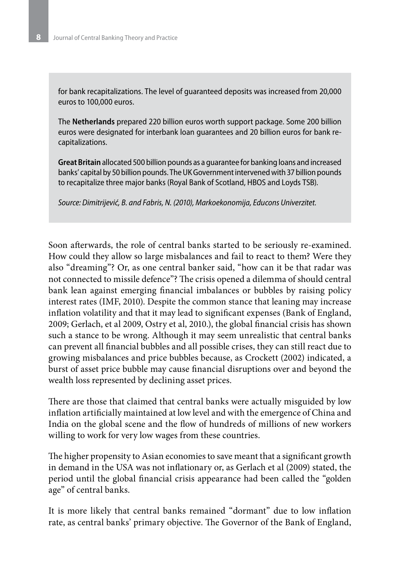for bank recapitalizations. The level of guaranteed deposits was increased from 20,000 euros to 100,000 euros.

The **Netherlands** prepared 220 billion euros worth support package. Some 200 billion euros were designated for interbank loan guarantees and 20 billion euros for bank recapitalizations.

**Great Britain** allocated 500 billion pounds as a guarantee for banking loans and increased banks' capital by 50 billion pounds. The UK Government intervened with 37 billion pounds to recapitalize three major banks (Royal Bank of Scotland, HBOS and Loyds TSB).

*Source: Dimitrijević, B. and Fabris, N. (2010), Markoekonomija, Educons Univerzitet.*

Soon afterwards, the role of central banks started to be seriously re-examined. How could they allow so large misbalances and fail to react to them? Were they also "dreaming"? Or, as one central banker said, "how can it be that radar was not connected to missile defence"? The crisis opened a dilemma of should central bank lean against emerging financial imbalances or bubbles by raising policy interest rates (IMF, 2010). Despite the common stance that leaning may increase inflation volatility and that it may lead to significant expenses (Bank of England, 2009; Gerlach, et al 2009, Ostry et al, 2010.), the global financial crisis has shown such a stance to be wrong. Although it may seem unrealistic that central banks can prevent all financial bubbles and all possible crises, they can still react due to growing misbalances and price bubbles because, as Crockett (2002) indicated, a burst of asset price bubble may cause financial disruptions over and beyond the wealth loss represented by declining asset prices.

There are those that claimed that central banks were actually misguided by low inflation artificially maintained at low level and with the emergence of China and India on the global scene and the flow of hundreds of millions of new workers willing to work for very low wages from these countries.

The higher propensity to Asian economies to save meant that a significant growth in demand in the USA was not inflationary or, as Gerlach et al (2009) stated, the period until the global financial crisis appearance had been called the "golden age" of central banks.

It is more likely that central banks remained "dormant" due to low inflation rate, as central banks' primary objective. The Governor of the Bank of England,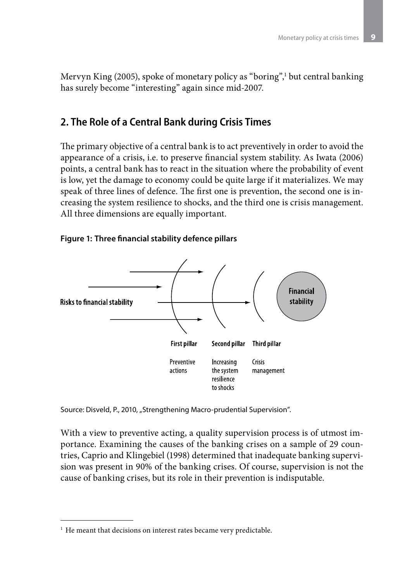Mervyn King (2005), spoke of monetary policy as "boring",<sup>1</sup> but central banking has surely become "interesting" again since mid-2007.

# **2. The Role of a Central Bank during Crisis Times**

The primary objective of a central bank is to act preventively in order to avoid the appearance of a crisis, i.e. to preserve financial system stability. As Iwata (2006) points, a central bank has to react in the situation where the probability of event is low, yet the damage to economy could be quite large if it materializes. We may speak of three lines of defence. The first one is prevention, the second one is increasing the system resilience to shocks, and the third one is crisis management. All three dimensions are equally important.

### **Figure 1: Three financial stability defence pillars**



Source: Disveld, P., 2010, "Strengthening Macro-prudential Supervision".

With a view to preventive acting, a quality supervision process is of utmost importance. Examining the causes of the banking crises on a sample of 29 countries, Caprio and Klingebiel (1998) determined that inadequate banking supervision was present in 90% of the banking crises. Of course, supervision is not the cause of banking crises, but its role in their prevention is indisputable.

 $<sup>1</sup>$  He meant that decisions on interest rates became very predictable.</sup>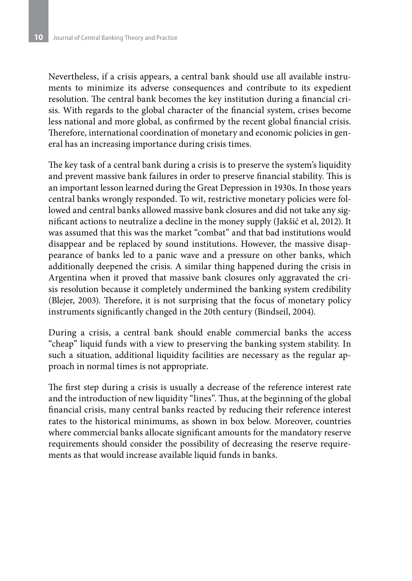Nevertheless, if a crisis appears, a central bank should use all available instruments to minimize its adverse consequences and contribute to its expedient resolution. The central bank becomes the key institution during a financial crisis. With regards to the global character of the financial system, crises become less national and more global, as confirmed by the recent global financial crisis. Therefore, international coordination of monetary and economic policies in general has an increasing importance during crisis times.

The key task of a central bank during a crisis is to preserve the system's liquidity and prevent massive bank failures in order to preserve financial stability. This is an important lesson learned during the Great Depression in 1930s. In those years central banks wrongly responded. To wit, restrictive monetary policies were followed and central banks allowed massive bank closures and did not take any significant actions to neutralize a decline in the money supply (Jakšić et al, 2012). It was assumed that this was the market "combat" and that bad institutions would disappear and be replaced by sound institutions. However, the massive disappearance of banks led to a panic wave and a pressure on other banks, which additionally deepened the crisis. A similar thing happened during the crisis in Argentina when it proved that massive bank closures only aggravated the crisis resolution because it completely undermined the banking system credibility (Blejer, 2003). Therefore, it is not surprising that the focus of monetary policy instruments significantly changed in the 20th century (Bindseil, 2004).

During a crisis, a central bank should enable commercial banks the access "cheap" liquid funds with a view to preserving the banking system stability. In such a situation, additional liquidity facilities are necessary as the regular approach in normal times is not appropriate.

The first step during a crisis is usually a decrease of the reference interest rate and the introduction of new liquidity "lines". Thus, at the beginning of the global financial crisis, many central banks reacted by reducing their reference interest rates to the historical minimums, as shown in box below. Moreover, countries where commercial banks allocate significant amounts for the mandatory reserve requirements should consider the possibility of decreasing the reserve requirements as that would increase available liquid funds in banks.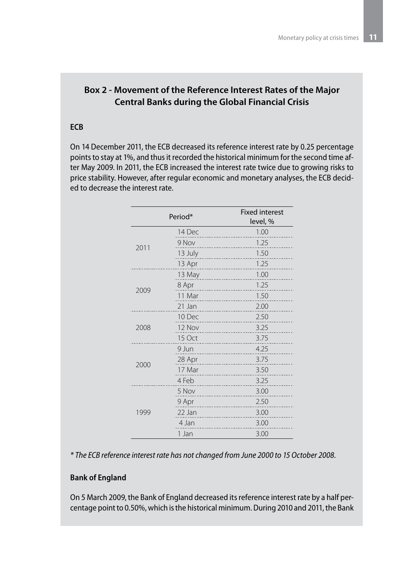# **Box 2 - Movement of the Reference Interest Rates of the Major Central Banks during the Global Financial Crisis**

#### **ECB**

On 14 December 2011, the ECB decreased its reference interest rate by 0.25 percentage points to stay at 1%, and thus it recorded the historical minimum for the second time after May 2009. In 2011, the ECB increased the interest rate twice due to growing risks to price stability. However, after regular economic and monetary analyses, the ECB decided to decrease the interest rate.

|      | Period* | <b>Fixed interest</b><br>level, % |
|------|---------|-----------------------------------|
|      | 14 Dec  | 1.00                              |
| 2011 | 9 Nov   | 1.25                              |
|      | 13 July | 1.50                              |
|      | 13 Apr  | 1.25                              |
|      | 13 May  | 1.00<br>.                         |
| 2009 | 8 Apr   | 1.25                              |
|      | 11 Mar  | 1.50                              |
|      | 21 Jan  | 2.00                              |
|      | 10 Dec  | 2.50                              |
| 2008 | 12 Nov  | 3.25                              |
|      | 15 Oct  | 3.75                              |
|      | 9 Jun   | 4.25<br>.                         |
| 2000 | 28 Apr  | 3.75                              |
|      | 17 Mar  | 3.50                              |
|      | 4 Feb   | 3.25                              |
|      | 5 Nov   | 3.00<br>.                         |
|      | 9 Apr   | 2.50                              |
| 1999 | 22 Jan  | 3.00                              |
|      | 4 Jan   | 3.00                              |
|      | 1 Jan   | 3.00                              |

*\* The ECB reference interest rate has not changed from June 2000 to 15 October 2008.*

#### **Bank of England**

On 5 March 2009, the Bank of England decreased its reference interest rate by a half percentage point to 0.50%, which is the historical minimum. During 2010 and 2011, the Bank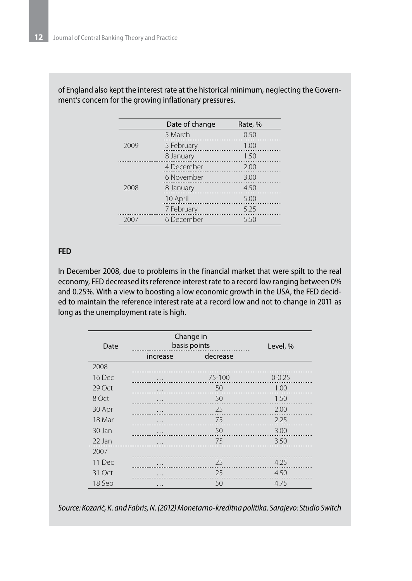|      | Date of change | Rate, % |
|------|----------------|---------|
|      | 5 March        | 0.50    |
| 2009 | 5 February     | 1.00    |
|      | 8 January      | 1.50    |
| 2008 | 4 December     | 2.00    |
|      | 6 November     | 3.00    |
|      | 8 January      | 4.50    |
|      | 10 April       | 5.00    |
|      | 7 February     | 5.25    |
|      | 6 December     | 5.50    |

of England also kept the interest rate at the historical minimum, neglecting the Government's concern for the growing inflationary pressures.

#### **FED**

In December 2008, due to problems in the financial market that were spilt to the real economy, FED decreased its reference interest rate to a record low ranging between 0% and 0.25%. With a view to boosting a low economic growth in the USA, the FED decided to maintain the reference interest rate at a record low and not to change in 2011 as long as the unemployment rate is high.

| Date   | Change in<br>basis points | Level, % |            |
|--------|---------------------------|----------|------------|
|        | increase                  | decrease |            |
| 2008   |                           |          |            |
| 16 Dec | .                         | 75-100   | $0 - 0.25$ |
| 29 Oct | .                         | 50       | 1.00       |
| 8 Oct  | .                         | 50       | 1.50       |
| 30 Apr | .                         | 25       | 2.00       |
| 18 Mar | .                         | 75       | 2.25       |
| 30 Jan | .                         | 50       | 3.00       |
| 22 Jan | .                         | 75       | 3.50       |
| 2007   |                           |          |            |
| 11 Dec | .                         | 25       | 4.25       |
| 31 Oct | .                         | 25       | 4.50       |
| 18 Sep | .                         | 50       | 4.75       |

*Source: Kozarić, K. and Fabris, N. (2012) Monetarno-kreditna politika. Sarajevo: Studio Switch*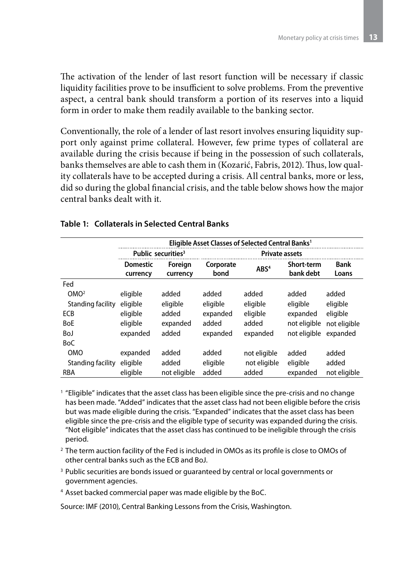The activation of the lender of last resort function will be necessary if classic liquidity facilities prove to be insufficient to solve problems. From the preventive aspect, a central bank should transform a portion of its reserves into a liquid form in order to make them readily available to the banking sector.

Conventionally, the role of a lender of last resort involves ensuring liquidity support only against prime collateral. However, few prime types of collateral are available during the crisis because if being in the possession of such collaterals, banks themselves are able to cash them in (Kozarić, Fabris, 2012). Thus, low quality collaterals have to be accepted during a crisis. All central banks, more or less, did so during the global financial crisis, and the table below shows how the major central banks dealt with it.

|                   | Eligible Asset Classes of Selected Central Banks <sup>1</sup> |                     |                       |                  |                                |                      |
|-------------------|---------------------------------------------------------------|---------------------|-----------------------|------------------|--------------------------------|----------------------|
|                   | Public securities <sup>3</sup>                                |                     | <b>Private assets</b> |                  |                                |                      |
|                   | <b>Domestic</b><br>currency                                   | Foreign<br>currency | Corporate<br>bond     | ABS <sup>4</sup> | <b>Short-term</b><br>bank debt | <b>Bank</b><br>Loans |
| Fed               |                                                               |                     |                       |                  |                                |                      |
| OMO <sup>2</sup>  | eligible                                                      | added               | added                 | added            | added                          | added                |
| Standing facility | eligible                                                      | eligible            | eligible              | eligible         | eligible                       | eligible             |
| ECB               | eligible                                                      | added               | expanded              | eligible         | expanded                       | eligible             |
| <b>BoE</b>        | eligible                                                      | expanded            | added                 | added            | not eligible                   | not eligible         |
| BoJ               | expanded                                                      | added               | expanded              | expanded         | not eligible                   | expanded             |
| <b>BoC</b>        |                                                               |                     |                       |                  |                                |                      |
| <b>OMO</b>        | expanded                                                      | added               | added                 | not eligible     | added                          | added                |
| Standing facility | eligible                                                      | added               | eligible              | not eligible     | eligible                       | added                |
| <b>RBA</b>        | eligible                                                      | not eligible        | added                 | added            | expanded                       | not eligible         |

#### **Table 1: Collaterals in Selected Central Banks**

<sup>1</sup> "Eligible" indicates that the asset class has been eligible since the pre-crisis and no change has been made. "Added" indicates that the asset class had not been eligible before the crisis but was made eligible during the crisis. "Expanded" indicates that the asset class has been eligible since the pre-crisis and the eligible type of security was expanded during the crisis. "Not eligible" indicates that the asset class has continued to be ineligible through the crisis period.

- <sup>2</sup> The term auction facility of the Fed is included in OMOs as its profile is close to OMOs of other central banks such as the ECB and BoJ.
- <sup>3</sup> Public securities are bonds issued or guaranteed by central or local governments or government agencies.
- <sup>4</sup> Asset backed commercial paper was made eligible by the BoC.

Source: IMF (2010), Central Banking Lessons from the Crisis, Washington.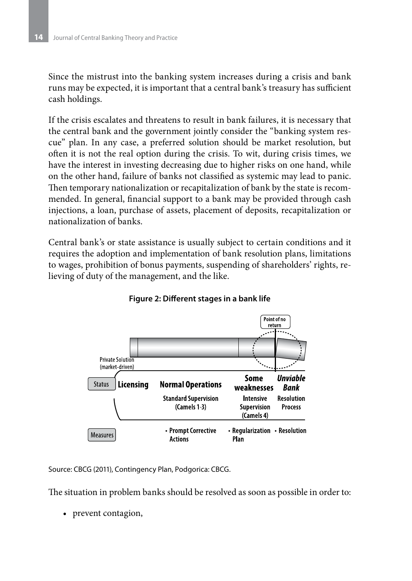Since the mistrust into the banking system increases during a crisis and bank runs may be expected, it is important that a central bank's treasury has sufficient cash holdings.

If the crisis escalates and threatens to result in bank failures, it is necessary that the central bank and the government jointly consider the "banking system rescue" plan. In any case, a preferred solution should be market resolution, but often it is not the real option during the crisis. To wit, during crisis times, we have the interest in investing decreasing due to higher risks on one hand, while on the other hand, failure of banks not classified as systemic may lead to panic. Then temporary nationalization or recapitalization of bank by the state is recommended. In general, financial support to a bank may be provided through cash injections, a loan, purchase of assets, placement of deposits, recapitalization or nationalization of banks.

Central bank's or state assistance is usually subject to certain conditions and it requires the adoption and implementation of bank resolution plans, limitations to wages, prohibition of bonus payments, suspending of shareholders' rights, relieving of duty of the management, and the like.



**Figure 2: Different stages in a bank life**

Source: CBCG (2011), Contingency Plan, Podgorica: CBCG.

The situation in problem banks should be resolved as soon as possible in order to:

• prevent contagion,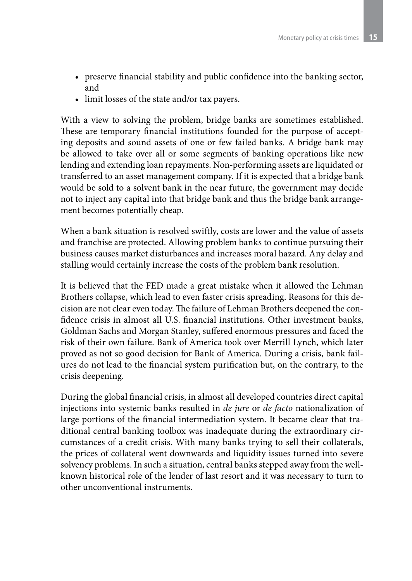- preserve financial stability and public confidence into the banking sector, and
- limit losses of the state and/or tax payers.

With a view to solving the problem, bridge banks are sometimes established. These are temporary financial institutions founded for the purpose of accepting deposits and sound assets of one or few failed banks. A bridge bank may be allowed to take over all or some segments of banking operations like new lending and extending loan repayments. Non-performing assets are liquidated or transferred to an asset management company. If it is expected that a bridge bank would be sold to a solvent bank in the near future, the government may decide not to inject any capital into that bridge bank and thus the bridge bank arrangement becomes potentially cheap.

When a bank situation is resolved swiftly, costs are lower and the value of assets and franchise are protected. Allowing problem banks to continue pursuing their business causes market disturbances and increases moral hazard. Any delay and stalling would certainly increase the costs of the problem bank resolution.

It is believed that the FED made a great mistake when it allowed the Lehman Brothers collapse, which lead to even faster crisis spreading. Reasons for this decision are not clear even today. The failure of Lehman Brothers deepened the confidence crisis in almost all U.S. financial institutions. Other investment banks, Goldman Sachs and Morgan Stanley, suffered enormous pressures and faced the risk of their own failure. Bank of America took over Merrill Lynch, which later proved as not so good decision for Bank of America. During a crisis, bank failures do not lead to the financial system purification but, on the contrary, to the crisis deepening.

During the global financial crisis, in almost all developed countries direct capital injections into systemic banks resulted in *de jure* or *de facto* nationalization of large portions of the financial intermediation system. It became clear that traditional central banking toolbox was inadequate during the extraordinary circumstances of a credit crisis. With many banks trying to sell their collaterals, the prices of collateral went downwards and liquidity issues turned into severe solvency problems. In such a situation, central banks stepped away from the wellknown historical role of the lender of last resort and it was necessary to turn to other unconventional instruments.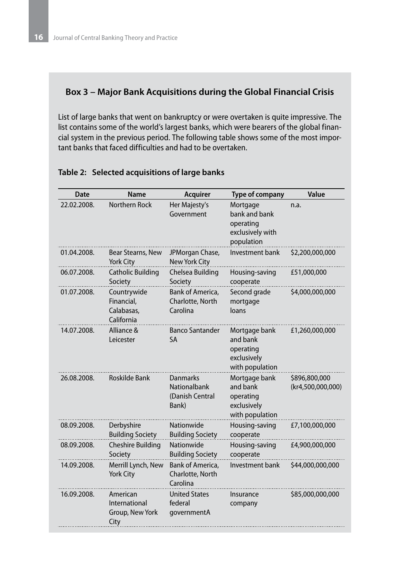### **Box 3 – Major Bank Acquisitions during the Global Financial Crisis**

List of large banks that went on bankruptcy or were overtaken is quite impressive. The list contains some of the world's largest banks, which were bearers of the global financial system in the previous period. The following table shows some of the most important banks that faced difficulties and had to be overtaken.

| Date        | Name                                                  | <b>Acquirer</b>                                                    | <b>Type of company</b>                                                   | Value                              |
|-------------|-------------------------------------------------------|--------------------------------------------------------------------|--------------------------------------------------------------------------|------------------------------------|
| 22.02.2008. | Northern Rock                                         | Her Majesty's<br>Government                                        | Mortgage<br>bank and bank<br>operating<br>exclusively with<br>population | n.a.                               |
| 01.04.2008. | Bear Stearns, New<br>York City                        | JPMorgan Chase,<br>New York City                                   | Investment bank                                                          | \$2,200,000,000                    |
| 06.07.2008. | <b>Catholic Building</b><br>Society                   | Chelsea Building<br>Society                                        | Housing-saving<br>cooperate                                              | £51,000,000                        |
| 01.07.2008. | Countrywide<br>Financial,<br>Calabasas,<br>California | Bank of America,<br>Charlotte, North<br>Carolina                   | Second grade<br>mortgage<br>loans                                        | \$4,000,000,000                    |
| 14.07.2008. | Alliance &<br>Leicester                               | <b>Banco Santander</b><br><b>SA</b>                                | Mortgage bank<br>and bank<br>operating<br>exclusively<br>with population | £1,260,000,000                     |
| 26.08.2008. | <b>Roskilde Bank</b>                                  | <b>Danmarks</b><br><b>Nationalbank</b><br>(Danish Central<br>Bank) | Mortgage bank<br>and bank<br>operating<br>exclusively<br>with population | \$896,800,000<br>(kr4,500,000,000) |
| 08.09.2008. | Derbyshire<br><b>Building Society</b>                 | Nationwide<br><b>Building Society</b>                              | Housing-saving<br>cooperate                                              | £7,100,000,000                     |
| 08.09.2008. | <b>Cheshire Building</b><br>Society                   | Nationwide<br><b>Building Society</b>                              | Housing-saving<br>cooperate                                              | £4,900,000,000                     |
| 14.09.2008. | Merrill Lynch, New<br><b>York City</b>                | Bank of America,<br>Charlotte, North<br>Carolina                   | Investment bank                                                          | \$44,000,000,000                   |
| 16.09.2008. | American<br>International<br>Group, New York<br>City  | <b>United States</b><br>federal<br>governmentA                     | Insurance<br>company                                                     | \$85,000,000,000                   |

#### **Table 2: Selected acquisitions of large banks**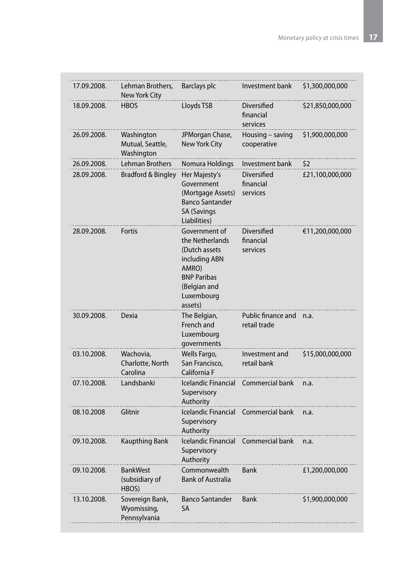| 17.09.2008. | Lehman Brothers,<br>New York City              | Barclays plc                                                                                                                                | Investment bank                      | \$1,300,000,000  |
|-------------|------------------------------------------------|---------------------------------------------------------------------------------------------------------------------------------------------|--------------------------------------|------------------|
| 18.09.2008. | <b>HBOS</b>                                    | Lloyds TSB                                                                                                                                  | Diversified<br>financial<br>services | \$21,850,000,000 |
| 26.09.2008. | Washington<br>Mutual, Seattle,<br>Washington   | JPMorgan Chase,<br><b>New York City</b>                                                                                                     | Housing - saving<br>cooperative      | \$1,900,000,000  |
| 26.09.2008. | Lehman Brothers                                | Nomura Holdings                                                                                                                             | Investment bank                      | \$2              |
| 28.09.2008. | <b>Bradford &amp; Bingley</b>                  | Her Majesty's<br>Government<br>(Mortgage Assets)<br><b>Banco Santander</b><br><b>SA (Savings</b><br>Liabilities)                            | Diversified<br>financial<br>services | £21,100,000,000  |
| 28.09.2008. | Fortis                                         | Government of<br>the Netherlands<br>(Dutch assets)<br>including ABN<br>AMRO)<br><b>BNP Paribas</b><br>(Belgian and<br>Luxembourg<br>assets) | Diversified<br>financial<br>services | €11,200,000,000  |
| 30.09.2008. | Dexia                                          | The Belgian,<br>French and<br>Luxembourg<br>governments                                                                                     | Public finance and<br>retail trade   | n.a.             |
| 03.10.2008. | Wachovia,<br>Charlotte, North<br>Carolina      | Wells Fargo,<br>San Francisco,<br>California F                                                                                              | Investment and<br>retail bank        | \$15,000,000,000 |
| 07.10.2008. | Landsbanki                                     | Icelandic Financial<br>Supervisory<br>Authority                                                                                             | Commercial bank                      | n.a.             |
| 08.10.2008  | Glitnir                                        | Icelandic Financial<br>Supervisory<br>Authority                                                                                             | Commercial bank                      | n.a.             |
| 09.10.2008. | <b>Kaupthing Bank</b>                          | <b>Icelandic Financial</b><br>Supervisory<br>Authority                                                                                      | Commercial bank                      | n.a.             |
| 09.10.2008. | <b>BankWest</b><br>(subsidiary of<br>HBOS)     | Commonwealth<br><b>Bank of Australia</b>                                                                                                    | Bank                                 | £1,200,000,000   |
| 13.10.2008. | Sovereign Bank,<br>Wyomissing,<br>Pennsylvania | <b>Banco Santander</b><br>SA                                                                                                                | Bank                                 | \$1,900,000,000  |
|             |                                                |                                                                                                                                             |                                      |                  |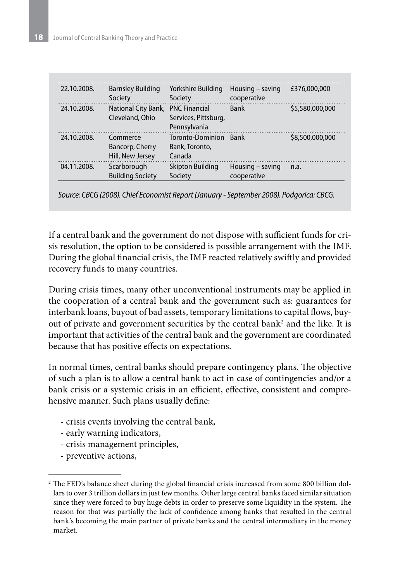| 22.10.2008. | <b>Barnsley Building</b><br>Society                  | Yorkshire Building<br>Society                | Housing $-$ saving<br>cooperative | £376,000,000    |
|-------------|------------------------------------------------------|----------------------------------------------|-----------------------------------|-----------------|
| 24.10.2008. | National City Bank, PNC Financial<br>Cleveland, Ohio | Services, Pittsburg,<br>Pennsylvania         | <b>Bank</b>                       | \$5,580,000,000 |
| 24.10.2008. | Commerce<br>Bancorp, Cherry<br>Hill, New Jersey      | Toronto-Dominion<br>Bank, Toronto,<br>Canada | <b>Bank</b>                       | \$8,500,000,000 |
| 04.11.2008. | Scarborough<br><b>Building Society</b>               | <b>Skipton Building</b><br>Society           | Housing - saving<br>cooperative   | n.a.            |

*Source: CBCG (2008). Chief Economist Report (January - September 2008). Podgorica: CBCG.*

If a central bank and the government do not dispose with sufficient funds for crisis resolution, the option to be considered is possible arrangement with the IMF. During the global financial crisis, the IMF reacted relatively swiftly and provided recovery funds to many countries.

During crisis times, many other unconventional instruments may be applied in the cooperation of a central bank and the government such as: guarantees for interbank loans, buyout of bad assets, temporary limitations to capital flows, buyout of private and government securities by the central bank $^2$  and the like. It is important that activities of the central bank and the government are coordinated because that has positive effects on expectations.

In normal times, central banks should prepare contingency plans. The objective of such a plan is to allow a central bank to act in case of contingencies and/or a bank crisis or a systemic crisis in an efficient, effective, consistent and comprehensive manner. Such plans usually define:

- crisis events involving the central bank,
- early warning indicators,
- crisis management principles,
- preventive actions,

<sup>&</sup>lt;sup>2</sup> The FED's balance sheet during the global financial crisis increased from some 800 billion dollars to over 3 trillion dollars in just few months. Other large central banks faced similar situation since they were forced to buy huge debts in order to preserve some liquidity in the system. The reason for that was partially the lack of confidence among banks that resulted in the central bank's becoming the main partner of private banks and the central intermediary in the money market.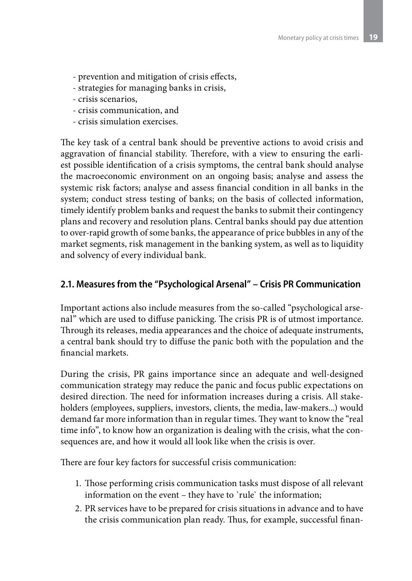- prevention and mitigation of crisis effects,
- strategies for managing banks in crisis,
- crisis scenarios,
- crisis communication, and
- crisis simulation exercises.

The key task of a central bank should be preventive actions to avoid crisis and aggravation of financial stability. Therefore, with a view to ensuring the earliest possible identification of a crisis symptoms, the central bank should analyse the macroeconomic environment on an ongoing basis; analyse and assess the systemic risk factors; analyse and assess financial condition in all banks in the system; conduct stress testing of banks; on the basis of collected information, timely identify problem banks and request the banks to submit their contingency plans and recovery and resolution plans. Central banks should pay due attention to over-rapid growth of some banks, the appearance of price bubbles in any of the market segments, risk management in the banking system, as well as to liquidity and solvency of every individual bank.

## **2.1. Measures from the "Psychological Arsenal" – Crisis PR Communication**

Important actions also include measures from the so-called "psychological arsenal" which are used to diffuse panicking. The crisis PR is of utmost importance. Through its releases, media appearances and the choice of adequate instruments, a central bank should try to diffuse the panic both with the population and the financial markets.

During the crisis, PR gains importance since an adequate and well-designed communication strategy may reduce the panic and focus public expectations on desired direction. The need for information increases during a crisis. All stakeholders (employees, suppliers, investors, clients, the media, law-makers...) would demand far more information than in regular times. They want to know the "real time info", to know how an organization is dealing with the crisis, what the consequences are, and how it would all look like when the crisis is over.

There are four key factors for successful crisis communication:

- 1. Those performing crisis communication tasks must dispose of all relevant information on the event – they have to `rule` the information;
- 2. PR services have to be prepared for crisis situations in advance and to have the crisis communication plan ready. Thus, for example, successful finan-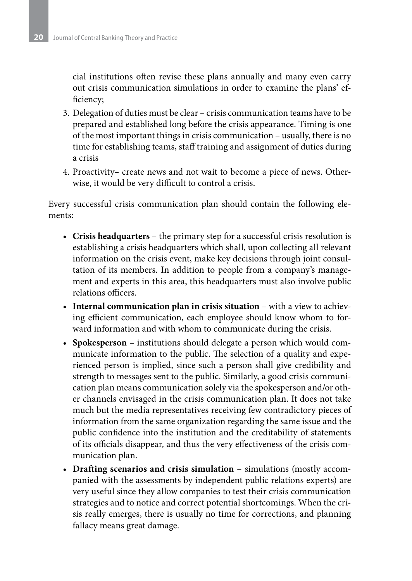cial institutions often revise these plans annually and many even carry out crisis communication simulations in order to examine the plans' efficiency;

- 3. Delegation of duties must be clear crisis communication teams have to be prepared and established long before the crisis appearance. Timing is one of the most important things in crisis communication – usually, there is no time for establishing teams, staff training and assignment of duties during a crisis
- 4. Proactivity– create news and not wait to become a piece of news. Otherwise, it would be very difficult to control a crisis.

Every successful crisis communication plan should contain the following elements:

- **Crisis headquarters** the primary step for a successful crisis resolution is establishing a crisis headquarters which shall, upon collecting all relevant information on the crisis event, make key decisions through joint consultation of its members. In addition to people from a company's management and experts in this area, this headquarters must also involve public relations officers.
- **Internal communication plan in crisis situation** with a view to achieving efficient communication, each employee should know whom to forward information and with whom to communicate during the crisis.
- **Spokesperson** institutions should delegate a person which would communicate information to the public. The selection of a quality and experienced person is implied, since such a person shall give credibility and strength to messages sent to the public. Similarly, a good crisis communication plan means communication solely via the spokesperson and/or other channels envisaged in the crisis communication plan. It does not take much but the media representatives receiving few contradictory pieces of information from the same organization regarding the same issue and the public confidence into the institution and the creditability of statements of its officials disappear, and thus the very effectiveness of the crisis communication plan.
- **Drafting scenarios and crisis simulation** simulations (mostly accompanied with the assessments by independent public relations experts) are very useful since they allow companies to test their crisis communication strategies and to notice and correct potential shortcomings. When the crisis really emerges, there is usually no time for corrections, and planning fallacy means great damage.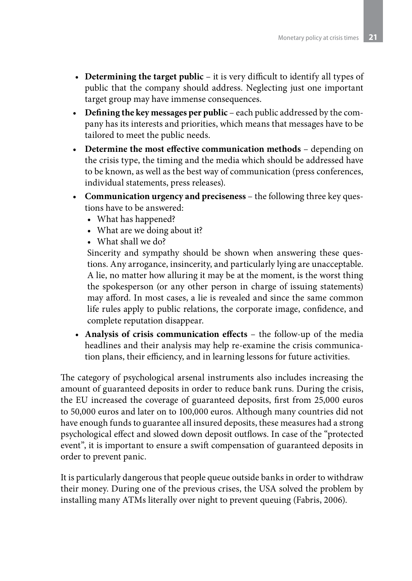- **Determining the target public** it is very difficult to identify all types of public that the company should address. Neglecting just one important target group may have immense consequences.
- **Defining the key messages per public**  each public addressed by the company has its interests and priorities, which means that messages have to be tailored to meet the public needs.
- **Determine the most effective communication methods** depending on the crisis type, the timing and the media which should be addressed have to be known, as well as the best way of communication (press conferences, individual statements, press releases).
- **Communication urgency and preciseness**  the following three key questions have to be answered:
	- What has happened?
	- What are we doing about it?
	- What shall we do?

Sincerity and sympathy should be shown when answering these questions. Any arrogance, insincerity, and particularly lying are unacceptable. A lie, no matter how alluring it may be at the moment, is the worst thing the spokesperson (or any other person in charge of issuing statements) may afford. In most cases, a lie is revealed and since the same common life rules apply to public relations, the corporate image, confidence, and complete reputation disappear.

• **Analysis of crisis communication effects** – the follow-up of the media headlines and their analysis may help re-examine the crisis communication plans, their efficiency, and in learning lessons for future activities.

The category of psychological arsenal instruments also includes increasing the amount of guaranteed deposits in order to reduce bank runs. During the crisis, the EU increased the coverage of guaranteed deposits, first from 25,000 euros to 50,000 euros and later on to 100,000 euros. Although many countries did not have enough funds to guarantee all insured deposits, these measures had a strong psychological effect and slowed down deposit outflows. In case of the "protected event", it is important to ensure a swift compensation of guaranteed deposits in order to prevent panic.

It is particularly dangerous that people queue outside banks in order to withdraw their money. During one of the previous crises, the USA solved the problem by installing many ATMs literally over night to prevent queuing (Fabris, 2006).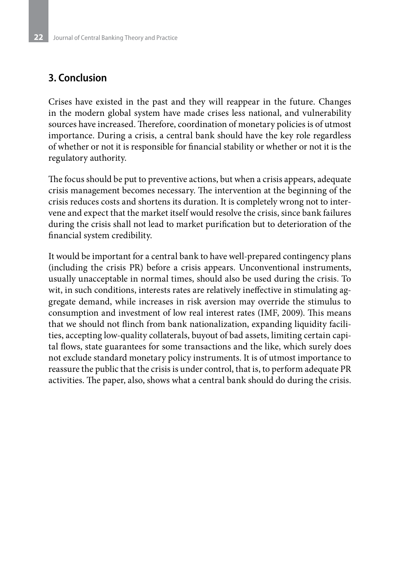# **3. Conclusion**

Crises have existed in the past and they will reappear in the future. Changes in the modern global system have made crises less national, and vulnerability sources have increased. Therefore, coordination of monetary policies is of utmost importance. During a crisis, a central bank should have the key role regardless of whether or not it is responsible for financial stability or whether or not it is the regulatory authority.

The focus should be put to preventive actions, but when a crisis appears, adequate crisis management becomes necessary. The intervention at the beginning of the crisis reduces costs and shortens its duration. It is completely wrong not to intervene and expect that the market itself would resolve the crisis, since bank failures during the crisis shall not lead to market purification but to deterioration of the financial system credibility.

It would be important for a central bank to have well-prepared contingency plans (including the crisis PR) before a crisis appears. Unconventional instruments, usually unacceptable in normal times, should also be used during the crisis. To wit, in such conditions, interests rates are relatively ineffective in stimulating aggregate demand, while increases in risk aversion may override the stimulus to consumption and investment of low real interest rates (IMF, 2009). This means that we should not flinch from bank nationalization, expanding liquidity facilities, accepting low-quality collaterals, buyout of bad assets, limiting certain capital flows, state guarantees for some transactions and the like, which surely does not exclude standard monetary policy instruments. It is of utmost importance to reassure the public that the crisis is under control, that is, to perform adequate PR activities. The paper, also, shows what a central bank should do during the crisis.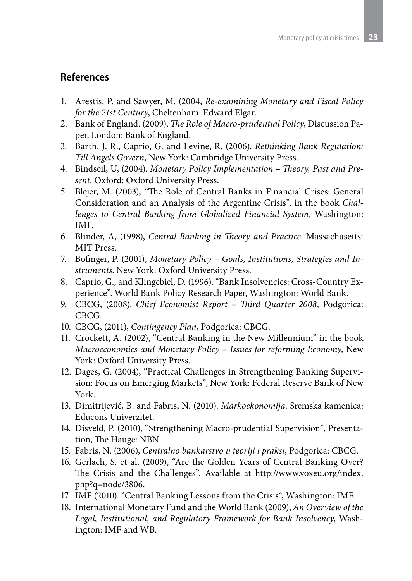# **References**

- 1. Arestis, P. and Sawyer, M. (2004, *Re-examining Monetary and Fiscal Policy for the 21st Century*, Cheltenham: Edward Elgar.
- 2. Bank of England. (2009), *The Role of Macro-prudential Policy*, Discussion Paper, London: Bank of England.
- 3. Barth, J. R., Caprio, G. and Levine, R. (2006). *Rethinking Bank Regulation: Till Angels Govern*, New York: Cambridge University Press.
- 4. Bindseil, U, (2004). *Monetary Policy Implementation Theory, Past and Present*, Oxford: Oxford University Press.
- 5. Blejer, M. (2003), "The Role of Central Banks in Financial Crises: General Consideration and an Analysis of the Argentine Crisis", in the book *Challenges to Central Banking from Globalized Financial System*, Washington: IMF.
- 6. Blinder, A, (1998), *Central Banking in Theory and Practice*. Massachusetts: MIT Press.
- 7. Bofinger, P. (2001), *Monetary Policy Goals, Institutions, Strategies and Instruments*. New York: Oxford University Press.
- 8. Caprio, G., and Klingebiel, D. (1996). "Bank Insolvencies: Cross-Country Experience". World Bank Policy Research Paper, Washington: World Bank.
- 9. CBCG, (2008), *Chief Economist Report Third Quarter 2008*, Podgorica: CBCG.
- 10. CBCG, (2011), *Contingency Plan*, Podgorica: CBCG.
- 11. Crockett, A. (2002), "Central Banking in the New Millennium" in the book *Macroeconomics and Monetary Policy – Issues for reforming Economy*, New York: Oxford University Press.
- 12. Dages, G. (2004), "Practical Challenges in Strengthening Banking Supervision: Focus on Emerging Markets", New York: Federal Reserve Bank of New York.
- 13. Dimitrijević, B. and Fabris, N. (2010). *Markoekonomija*. Sremska kamenica: Educons Univerzitet.
- 14. Disveld, P. (2010), "Strengthening Macro-prudential Supervision", Presentation, The Hauge: NBN.
- 15. Fabris, N. (2006), *Centralno bankarstvo u teoriji i praksi*, Podgorica: CBCG.
- 16. Gerlach, S. et al. (2009), "Are the Golden Years of Central Banking Over? The Crisis and the Challenges". Available at http://www.voxeu.org/index. php?q=node/3806.
- 17. IMF (2010). "Central Banking Lessons from the Crisis", Washington: IMF.
- 18. International Monetary Fund and the World Bank (2009), *An Overview of the Legal, Institutional, and Regulatory Framework for Bank Insolvency*, Washington: IMF and WB.